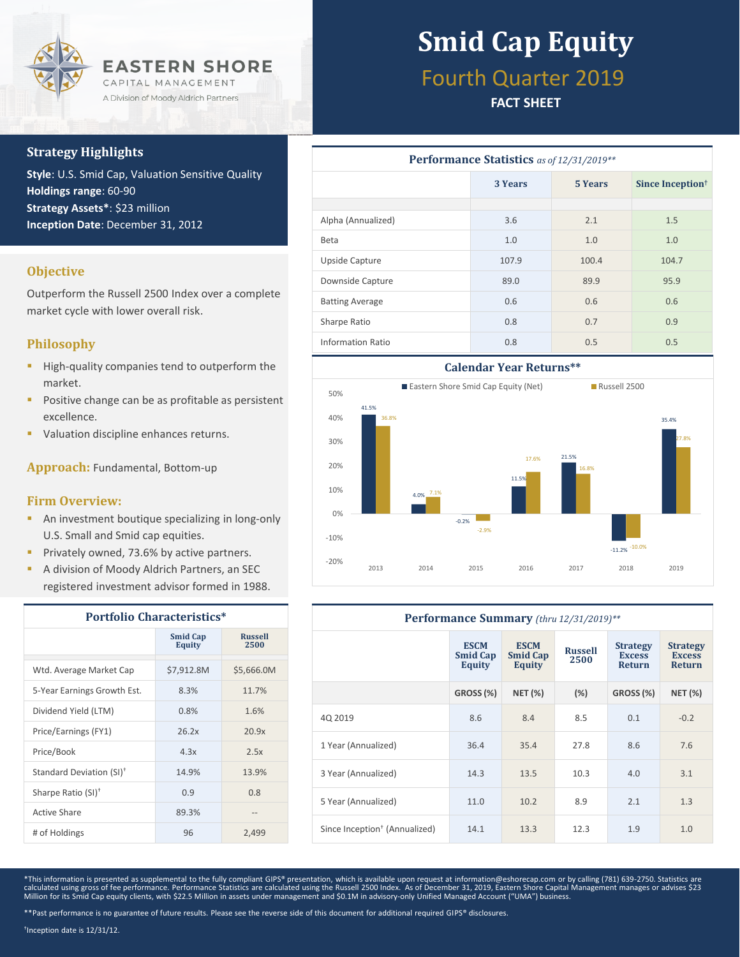

### **Strategy Highlights**

**Style**: U.S. Smid Cap, Valuation Sensitive Quality **Holdings range**: 60-90 **Strategy Assets\***: \$23 million **Inception Date**: December 31, 2012

### **Objective**

Outperform the Russell 2500 Index over a complete market cycle with lower overall risk.

### **Philosophy**

- **High-quality companies tend to outperform the** market.
- **Positive change can be as profitable as persistent** excellence.
- Valuation discipline enhances returns.

**Approach:** Fundamental, Bottom-up

#### **Firm Overview:**

- **An investment boutique specializing in long-only** U.S. Small and Smid cap equities.
- **Privately owned, 73.6% by active partners.**
- A division of Moody Aldrich Partners, an SEC registered investment advisor formed in 1988.

| <b>Portfolio Characteristics*</b>    |                                  |                        |  |  |
|--------------------------------------|----------------------------------|------------------------|--|--|
|                                      | <b>Smid Cap</b><br><b>Equity</b> | <b>Russell</b><br>2500 |  |  |
| Wtd. Average Market Cap              | \$7,912.8M                       | \$5,666.0M             |  |  |
| 5-Year Earnings Growth Est.          | 8.3%                             | 11.7%                  |  |  |
| Dividend Yield (LTM)                 | 0.8%                             | 1.6%                   |  |  |
| Price/Earnings (FY1)                 | 26.2x                            | 20.9x                  |  |  |
| Price/Book                           | 4.3x                             | 2.5x                   |  |  |
| Standard Deviation (SI) <sup>†</sup> | 14.9%                            | 13.9%                  |  |  |
| Sharpe Ratio (SI) <sup>+</sup>       | 0.9                              | 0.8                    |  |  |
| Active Share                         | 89.3%                            | $- -$                  |  |  |
| # of Holdings                        | 96                               | 2,499                  |  |  |

## **Smid Cap Equity**

## Fourth Quarter 2019

### **FACT SHEET**

| Performance Statistics as of 12/31/2019** |                    |       |                              |  |  |  |
|-------------------------------------------|--------------------|-------|------------------------------|--|--|--|
|                                           | 3 Years<br>5 Years |       | Since Inception <sup>†</sup> |  |  |  |
|                                           |                    |       |                              |  |  |  |
| Alpha (Annualized)                        | 3.6                | 2.1   | 1.5                          |  |  |  |
| <b>Beta</b>                               | 1.0                | 1.0   | 1.0                          |  |  |  |
| Upside Capture                            | 107.9              | 100.4 | 104.7                        |  |  |  |
| Downside Capture                          | 89.0               | 89.9  | 95.9                         |  |  |  |
| <b>Batting Average</b>                    | 0.6                | 0.6   | 0.6                          |  |  |  |
| Sharpe Ratio                              | 0.8                | 0.7   | 0.9                          |  |  |  |
| Information Ratio                         | 0.8                | 0.5   | 0.5                          |  |  |  |



| Performance Summary (thru 12/31/2019)**   |                                          |                                          |                        |                                                   |                                            |  |
|-------------------------------------------|------------------------------------------|------------------------------------------|------------------------|---------------------------------------------------|--------------------------------------------|--|
|                                           | <b>ESCM</b><br><b>Smid Cap</b><br>Equity | <b>ESCM</b><br><b>Smid Cap</b><br>Equity | <b>Russell</b><br>2500 | <b>Strategy</b><br><b>Excess</b><br><b>Return</b> | <b>Strategy</b><br><b>Excess</b><br>Return |  |
|                                           | GROSS (%)                                | <b>NET (%)</b>                           | (%)                    | GROSS (%)                                         | <b>NET (%)</b>                             |  |
| 40 2019                                   | 8.6                                      | 8.4                                      | 8.5                    | 0.1                                               | $-0.2$                                     |  |
| 1 Year (Annualized)                       | 36.4                                     | 35.4                                     | 27.8                   | 8.6                                               | 7.6                                        |  |
| 3 Year (Annualized)                       | 14.3                                     | 13.5                                     | 10.3                   | 4.0                                               | 3.1                                        |  |
| 5 Year (Annualized)                       | 11.0                                     | 10.2                                     | 8.9                    | 2.1                                               | 1.3                                        |  |
| Since Inception <sup>+</sup> (Annualized) | 14.1                                     | 13.3                                     | 12.3                   | 1.9                                               | 1.0                                        |  |

\*This information is presented as supplemental to the fully compliant GIPS® presentation, which is available upon request at information@eshorecap.com or by calling (781) 639-2750. Statistics are calculated using gross of fee performance. Performance Statistics are calculated using the Russell 2500 Index. As of December 31, 2019, Eastern Shore Capital Management manages or advises \$23<br>Million for its Smid Cap equit

† Inception date is 12/31/12.